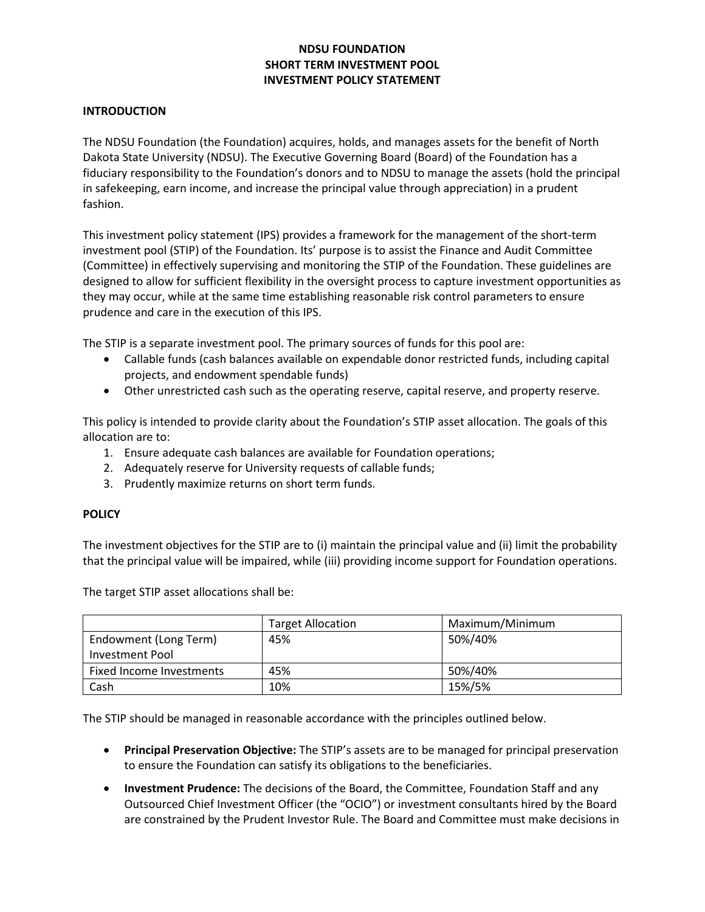## **NDSU FOUNDATION SHORT TERM INVESTMENT POOL INVESTMENT POLICY STATEMENT**

#### **INTRODUCTION**

The NDSU Foundation (the Foundation) acquires, holds, and manages assets for the benefit of North Dakota State University (NDSU). The Executive Governing Board (Board) of the Foundation has a fiduciary responsibility to the Foundation's donors and to NDSU to manage the assets (hold the principal in safekeeping, earn income, and increase the principal value through appreciation) in a prudent fashion.

This investment policy statement (IPS) provides a framework for the management of the short-term investment pool (STIP) of the Foundation. Its' purpose is to assist the Finance and Audit Committee (Committee) in effectively supervising and monitoring the STIP of the Foundation. These guidelines are designed to allow for sufficient flexibility in the oversight process to capture investment opportunities as they may occur, while at the same time establishing reasonable risk control parameters to ensure prudence and care in the execution of this IPS.

The STIP is a separate investment pool. The primary sources of funds for this pool are:

- Callable funds (cash balances available on expendable donor restricted funds, including capital projects, and endowment spendable funds)
- Other unrestricted cash such as the operating reserve, capital reserve, and property reserve.

This policy is intended to provide clarity about the Foundation's STIP asset allocation. The goals of this allocation are to:

- 1. Ensure adequate cash balances are available for Foundation operations;
- 2. Adequately reserve for University requests of callable funds;
- 3. Prudently maximize returns on short term funds.

#### **POLICY**

The investment objectives for the STIP are to (i) maintain the principal value and (ii) limit the probability that the principal value will be impaired, while (iii) providing income support for Foundation operations.

The target STIP asset allocations shall be:

|                          | <b>Target Allocation</b> | Maximum/Minimum |
|--------------------------|--------------------------|-----------------|
| Endowment (Long Term)    | 45%                      | 50%/40%         |
| <b>Investment Pool</b>   |                          |                 |
| Fixed Income Investments | 45%                      | 50%/40%         |
| Cash                     | 10%                      | 15%/5%          |

The STIP should be managed in reasonable accordance with the principles outlined below.

- **Principal Preservation Objective:** The STIP's assets are to be managed for principal preservation to ensure the Foundation can satisfy its obligations to the beneficiaries.
- **Investment Prudence:** The decisions of the Board, the Committee, Foundation Staff and any Outsourced Chief Investment Officer (the "OCIO") or investment consultants hired by the Board are constrained by the Prudent Investor Rule. The Board and Committee must make decisions in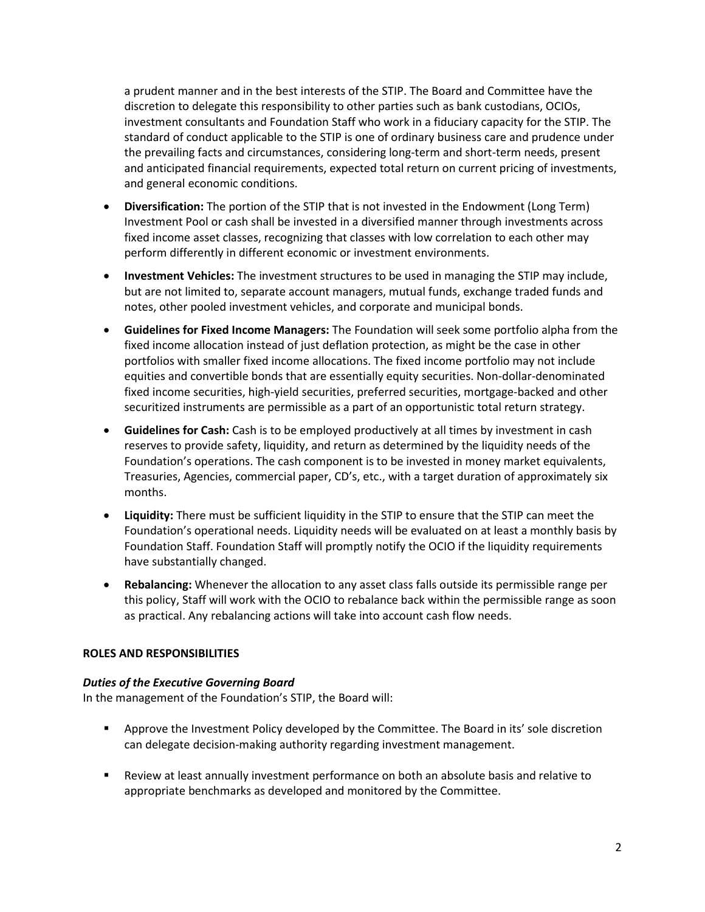a prudent manner and in the best interests of the STIP. The Board and Committee have the discretion to delegate this responsibility to other parties such as bank custodians, OCIOs, investment consultants and Foundation Staff who work in a fiduciary capacity for the STIP. The standard of conduct applicable to the STIP is one of ordinary business care and prudence under the prevailing facts and circumstances, considering long-term and short-term needs, present and anticipated financial requirements, expected total return on current pricing of investments, and general economic conditions.

- **Diversification:** The portion of the STIP that is not invested in the Endowment (Long Term) Investment Pool or cash shall be invested in a diversified manner through investments across fixed income asset classes, recognizing that classes with low correlation to each other may perform differently in different economic or investment environments.
- **Investment Vehicles:** The investment structures to be used in managing the STIP may include, but are not limited to, separate account managers, mutual funds, exchange traded funds and notes, other pooled investment vehicles, and corporate and municipal bonds.
- **Guidelines for Fixed Income Managers:** The Foundation will seek some portfolio alpha from the fixed income allocation instead of just deflation protection, as might be the case in other portfolios with smaller fixed income allocations. The fixed income portfolio may not include equities and convertible bonds that are essentially equity securities. Non-dollar-denominated fixed income securities, high-yield securities, preferred securities, mortgage-backed and other securitized instruments are permissible as a part of an opportunistic total return strategy.
- **Guidelines for Cash:** Cash is to be employed productively at all times by investment in cash reserves to provide safety, liquidity, and return as determined by the liquidity needs of the Foundation's operations. The cash component is to be invested in money market equivalents, Treasuries, Agencies, commercial paper, CD's, etc., with a target duration of approximately six months.
- **Liquidity:** There must be sufficient liquidity in the STIP to ensure that the STIP can meet the Foundation's operational needs. Liquidity needs will be evaluated on at least a monthly basis by Foundation Staff. Foundation Staff will promptly notify the OCIO if the liquidity requirements have substantially changed.
- **Rebalancing:** Whenever the allocation to any asset class falls outside its permissible range per this policy, Staff will work with the OCIO to rebalance back within the permissible range as soon as practical. Any rebalancing actions will take into account cash flow needs.

### **ROLES AND RESPONSIBILITIES**

### *Duties of the Executive Governing Board*

In the management of the Foundation's STIP, the Board will:

- **EXECT** Approve the Investment Policy developed by the Committee. The Board in its' sole discretion can delegate decision-making authority regarding investment management.
- Review at least annually investment performance on both an absolute basis and relative to appropriate benchmarks as developed and monitored by the Committee.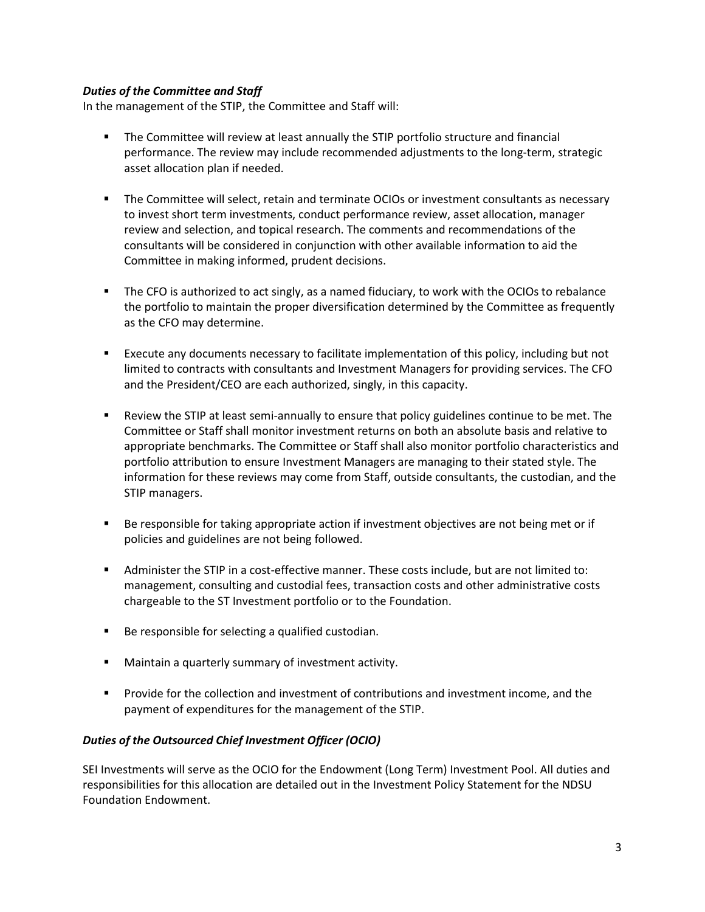### *Duties of the Committee and Staff*

In the management of the STIP, the Committee and Staff will:

- The Committee will review at least annually the STIP portfolio structure and financial performance. The review may include recommended adjustments to the long-term, strategic asset allocation plan if needed.
- **The Committee will select, retain and terminate OCIOs or investment consultants as necessary** to invest short term investments, conduct performance review, asset allocation, manager review and selection, and topical research. The comments and recommendations of the consultants will be considered in conjunction with other available information to aid the Committee in making informed, prudent decisions.
- **The CFO is authorized to act singly, as a named fiduciary, to work with the OCIOs to rebalance** the portfolio to maintain the proper diversification determined by the Committee as frequently as the CFO may determine.
- Execute any documents necessary to facilitate implementation of this policy, including but not limited to contracts with consultants and Investment Managers for providing services. The CFO and the President/CEO are each authorized, singly, in this capacity.
- Review the STIP at least semi-annually to ensure that policy guidelines continue to be met. The Committee or Staff shall monitor investment returns on both an absolute basis and relative to appropriate benchmarks. The Committee or Staff shall also monitor portfolio characteristics and portfolio attribution to ensure Investment Managers are managing to their stated style. The information for these reviews may come from Staff, outside consultants, the custodian, and the STIP managers.
- **Be responsible for taking appropriate action if investment objectives are not being met or if** policies and guidelines are not being followed.
- Administer the STIP in a cost-effective manner. These costs include, but are not limited to: management, consulting and custodial fees, transaction costs and other administrative costs chargeable to the ST Investment portfolio or to the Foundation.
- Be responsible for selecting a qualified custodian.
- Maintain a quarterly summary of investment activity.
- **Provide for the collection and investment of contributions and investment income, and the** payment of expenditures for the management of the STIP.

### *Duties of the Outsourced Chief Investment Officer (OCIO)*

SEI Investments will serve as the OCIO for the Endowment (Long Term) Investment Pool. All duties and responsibilities for this allocation are detailed out in the Investment Policy Statement for the NDSU Foundation Endowment.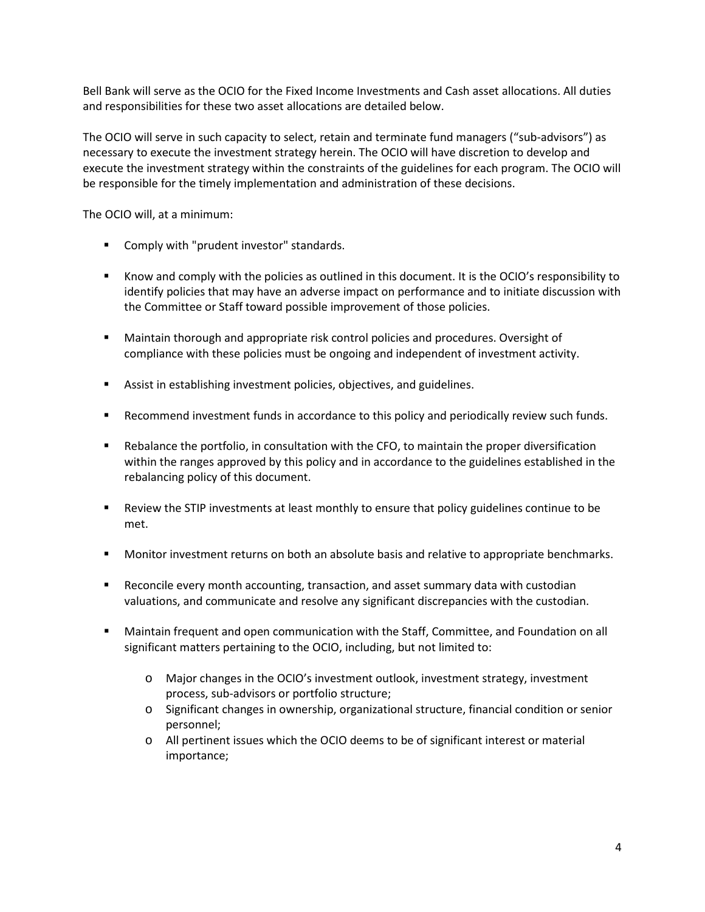Bell Bank will serve as the OCIO for the Fixed Income Investments and Cash asset allocations. All duties and responsibilities for these two asset allocations are detailed below.

The OCIO will serve in such capacity to select, retain and terminate fund managers ("sub-advisors") as necessary to execute the investment strategy herein. The OCIO will have discretion to develop and execute the investment strategy within the constraints of the guidelines for each program. The OCIO will be responsible for the timely implementation and administration of these decisions.

The OCIO will, at a minimum:

- **Comply with "prudent investor" standards.**
- Know and comply with the policies as outlined in this document. It is the OCIO's responsibility to identify policies that may have an adverse impact on performance and to initiate discussion with the Committee or Staff toward possible improvement of those policies.
- Maintain thorough and appropriate risk control policies and procedures. Oversight of compliance with these policies must be ongoing and independent of investment activity.
- Assist in establishing investment policies, objectives, and guidelines.
- Recommend investment funds in accordance to this policy and periodically review such funds.
- Rebalance the portfolio, in consultation with the CFO, to maintain the proper diversification within the ranges approved by this policy and in accordance to the guidelines established in the rebalancing policy of this document.
- Review the STIP investments at least monthly to ensure that policy guidelines continue to be met.
- **Monitor investment returns on both an absolute basis and relative to appropriate benchmarks.**
- Reconcile every month accounting, transaction, and asset summary data with custodian valuations, and communicate and resolve any significant discrepancies with the custodian.
- Maintain frequent and open communication with the Staff, Committee, and Foundation on all significant matters pertaining to the OCIO, including, but not limited to:
	- o Major changes in the OCIO's investment outlook, investment strategy, investment process, sub-advisors or portfolio structure;
	- o Significant changes in ownership, organizational structure, financial condition or senior personnel;
	- o All pertinent issues which the OCIO deems to be of significant interest or material importance;